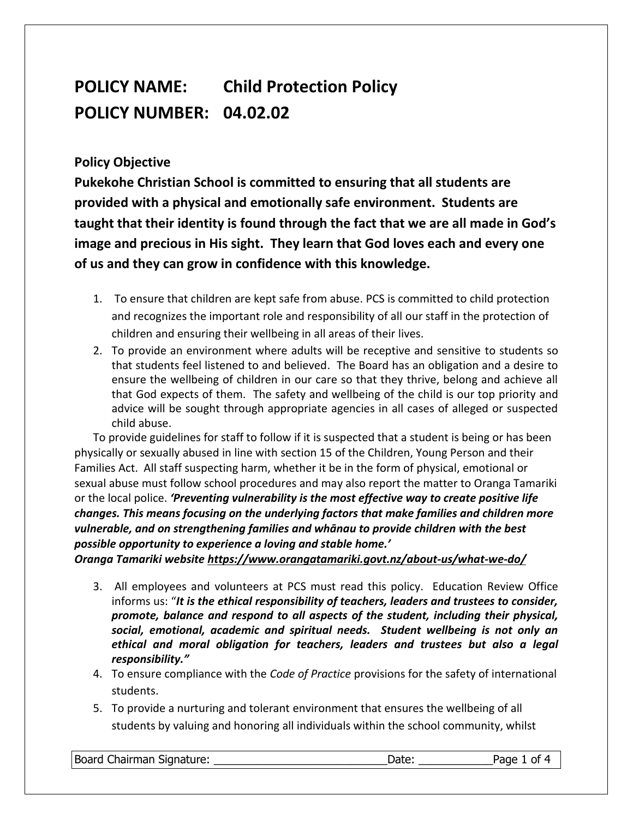## **POLICY NAME: Child Protection Policy POLICY NUMBER: 04.02.02**

## **Policy Objective**

**Pukekohe Christian School is committed to ensuring that all students are provided with a physical and emotionally safe environment. Students are taught that their identity is found through the fact that we are all made in God's image and precious in His sight. They learn that God loves each and every one of us and they can grow in confidence with this knowledge.** 

- 1. To ensure that children are kept safe from abuse. PCS is committed to child protection and recognizes the important role and responsibility of all our staff in the protection of children and ensuring their wellbeing in all areas of their lives.
- 2. To provide an environment where adults will be receptive and sensitive to students so that students feel listened to and believed. The Board has an obligation and a desire to ensure the wellbeing of children in our care so that they thrive, belong and achieve all that God expects of them. The safety and wellbeing of the child is our top priority and advice will be sought through appropriate agencies in all cases of alleged or suspected child abuse.

To provide guidelines for staff to follow if it is suspected that a student is being or has been physically or sexually abused in line with section 15 of the Children, Young Person and their Families Act. All staff suspecting harm, whether it be in the form of physical, emotional or sexual abuse must follow school procedures and may also report the matter to Oranga Tamariki or the local police. *'Preventing vulnerability is the most effective way to create positive life changes. This means focusing on the underlying factors that make families and children more vulnerable, and on strengthening families and whānau to provide children with the best possible opportunity to experience a loving and stable home.'*

*Oranga Tamariki websit[e https://www.orangatamariki.govt.nz/about-us/what-we-do/](https://www.orangatamariki.govt.nz/about-us/what-we-do/)*

- 3. All employees and volunteers at PCS must read this policy. Education Review Office informs us: "*It is the ethical responsibility of teachers, leaders and trustees to consider, promote, balance and respond to all aspects of the student, including their physical, social, emotional, academic and spiritual needs. Student wellbeing is not only an ethical and moral obligation for teachers, leaders and trustees but also a legal responsibility."*
- 4. To ensure compliance with the *Code of Practice* provisions for the safety of international students.
- 5. To provide a nurturing and tolerant environment that ensures the wellbeing of all students by valuing and honoring all individuals within the school community, whilst

Board Chairman Signature: \_\_\_\_\_\_\_\_\_\_\_\_\_\_\_\_\_\_\_\_\_\_\_\_\_\_\_\_Date: \_\_\_\_\_\_\_\_\_\_\_\_Page 1 of 4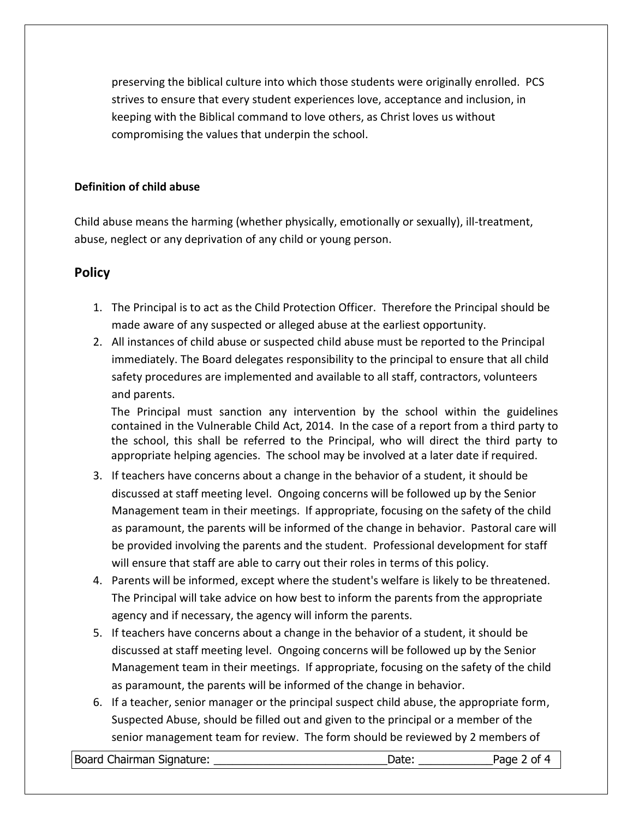preserving the biblical culture into which those students were originally enrolled. PCS strives to ensure that every student experiences love, acceptance and inclusion, in keeping with the Biblical command to love others, as Christ loves us without compromising the values that underpin the school.

## **Definition of child abuse**

Child abuse means the harming (whether physically, emotionally or sexually), ill-treatment, abuse, neglect or any deprivation of any child or young person.

## **Policy**

- 1. The Principal is to act as the Child Protection Officer. Therefore the Principal should be made aware of any suspected or alleged abuse at the earliest opportunity.
- 2. All instances of child abuse or suspected child abuse must be reported to the Principal immediately. The Board delegates responsibility to the principal to ensure that all child safety procedures are implemented and available to all staff, contractors, volunteers and parents.

The Principal must sanction any intervention by the school within the guidelines contained in the Vulnerable Child Act, 2014. In the case of a report from a third party to the school, this shall be referred to the Principal, who will direct the third party to appropriate helping agencies. The school may be involved at a later date if required.

- 3. If teachers have concerns about a change in the behavior of a student, it should be discussed at staff meeting level. Ongoing concerns will be followed up by the Senior Management team in their meetings. If appropriate, focusing on the safety of the child as paramount, the parents will be informed of the change in behavior. Pastoral care will be provided involving the parents and the student. Professional development for staff will ensure that staff are able to carry out their roles in terms of this policy.
- 4. Parents will be informed, except where the student's welfare is likely to be threatened. The Principal will take advice on how best to inform the parents from the appropriate agency and if necessary, the agency will inform the parents.
- 5. If teachers have concerns about a change in the behavior of a student, it should be discussed at staff meeting level. Ongoing concerns will be followed up by the Senior Management team in their meetings. If appropriate, focusing on the safety of the child as paramount, the parents will be informed of the change in behavior.
- 6. If a teacher, senior manager or the principal suspect child abuse, the appropriate form, Suspected Abuse, should be filled out and given to the principal or a member of the senior management team for review. The form should be reviewed by 2 members of

Board Chairman Signature: \_\_\_\_\_\_\_\_\_\_\_\_\_\_\_\_\_\_\_\_\_\_\_\_\_\_\_\_Date: \_\_\_\_\_\_\_\_\_\_\_\_Page 2 of 4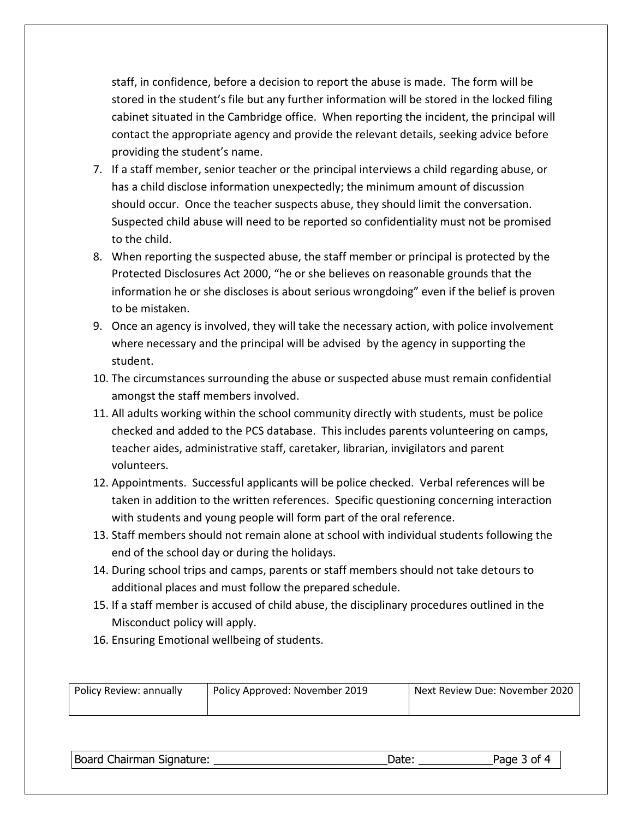staff, in confidence, before a decision to report the abuse is made. The form will be stored in the student's file but any further information will be stored in the locked filing cabinet situated in the Cambridge office. When reporting the incident, the principal will contact the appropriate agency and provide the relevant details, seeking advice before providing the student's name.

- 7. If a staff member, senior teacher or the principal interviews a child regarding abuse, or has a child disclose information unexpectedly; the minimum amount of discussion should occur. Once the teacher suspects abuse, they should limit the conversation. Suspected child abuse will need to be reported so confidentiality must not be promised to the child.
- 8. When reporting the suspected abuse, the staff member or principal is protected by the Protected Disclosures Act 2000, "he or she believes on reasonable grounds that the information he or she discloses is about serious wrongdoing" even if the belief is proven to be mistaken.
- 9. Once an agency is involved, they will take the necessary action, with police involvement where necessary and the principal will be advised by the agency in supporting the student.
- 10. The circumstances surrounding the abuse or suspected abuse must remain confidential amongst the staff members involved.
- 11. All adults working within the school community directly with students, must be police checked and added to the PCS database. This includes parents volunteering on camps, teacher aides, administrative staff, caretaker, librarian, invigilators and parent volunteers.
- 12. Appointments. Successful applicants will be police checked. Verbal references will be taken in addition to the written references. Specific questioning concerning interaction with students and young people will form part of the oral reference.
- 13. Staff members should not remain alone at school with individual students following the end of the school day or during the holidays.
- 14. During school trips and camps, parents or staff members should not take detours to additional places and must follow the prepared schedule.
- 15. If a staff member is accused of child abuse, the disciplinary procedures outlined in the Misconduct policy will apply.
- 16. Ensuring Emotional wellbeing of students.

| Policy Review: annually | Policy Approved: November 2019 | Next Review Due: November 2020 |
|-------------------------|--------------------------------|--------------------------------|
|                         |                                |                                |

| Board Chairman Signature: | Date: | Page 3 of 4 |
|---------------------------|-------|-------------|
|                           |       |             |